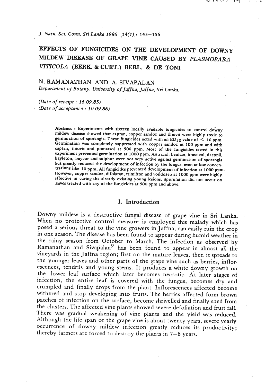**J.** *Natn. Sci. Coun. Sri Lanka 1986 14(1)* : *145-156* 

## **EFFECTS OF FUNGICIDES ON THE DEVELOPMENT OF DOWNY MILDEW DISEASE OF** GRAPE **VINE CAUSED** BY *PLASMOPARA VITICOLA* (BERK. & **CURT.)** BERL. & **DE TONI**

#### N. RAMANATHAN AND A. SIVAPALAN

*Department of Botany, University of Jaffna, Jaffna,* **Sri** *Lanka.* 

*(Date of receipt* : *16.09.85) (Date of acceptance* : *10.09.86)* 

> Abstract *x* Experiments with sixteen locally available fungicides to control downy mildew disease showed that captan, copper sandoz and thiovit were highly toxic to germination of sporangia. These fungicides acted with **an ED50** value of < **<sup>10</sup>**ppm. Germination was completely suppressed with copper sandoz at **100** ppm and with captan, thiovit and pomarsol at **500** ppm. Most of the fungicides tested in this experiment prevented germination at 1000 ppm. Antracol, benlate, brassicol, daconil, bayleton, baycor and sulphur were not very active against germination of spormgia but greatly reduced the development of infection by the fungus, even at low concentrations like **10** ppm. **All** fungicides prevented development of infection at **1000** ppm. However, copper sandoz, difolatan, trimilton and vondozeb at 1000 ppm were highly effective in curing the already existing young lesions. Sporulation did not occur on leaves treated with any of the fungicides at **500** ppm and above.

#### **1.** Introduction

Downy mildew is a destructive fungal disease of grape vine in Sri Lanka. When no protective control measure is employed this malady which has posed a serious threat to the vine growers in Jaffna, can easily ruin the crop in one season. The disease has been found to appear during humid weather in the rainy season from October to March. The infection as observed by Ramanathan and Sivapalan<sup>9</sup> has been found to appear in almost all the vineyards in the Jaffna region; first on the mature leaves, then it spreads to the younger leaves and other parts of the grape vine such **as** berries, inflorescences, tendrils and young stems. It produces a white downy growth on the lower leaf surface which later becomes necrotic. At later stages of infection, the entire leaf is covered with the fungus, becomes dry and crumpled and finally drops from the plant. Inflorescences affected become withered and stop developing into fruits. The berries affected form brown patches of infection on the surface, become shrivelled and finally shed from the clusters. The affected vine plants showed severe defoliation and fruit fall. There was gradual weakening of vine plants and the yield was reduced. Although the life span of the grape vine is about twenty years, severe yearly occurrence of downy mildew infection greatly reduces its productivity; thereby farmers are forced to destroy the plants in  $7-8$  years.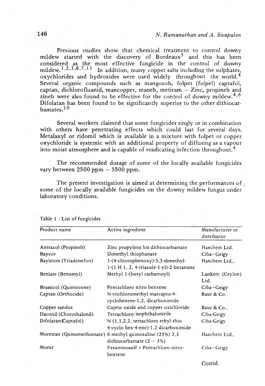Previous studies show that chemical treatment to control downy mildew started with the discovery of Bordeaux<sup>5</sup> and this has been considered as the most effective fungicide in the control of downy mildew.<sup>1,2</sup>,3,6,7,11 In addition, many copper salts including the sulphates, oxychlorides and hydroxides were used widely throughout the world.<sup>4</sup> Several organic compounds such as mangozob, folpet (folpel) captafol, captan, dichlorofluanid, mancopper, maneb, metiram  $-$  Zinc, propineb and zineb were also found to be effective for the control of downy mildew.<sup>4,6</sup> Difolatan has been found to be significantly superior to the other dithiocarbamates.<sup>10</sup>

Several workers claimed that some fungicides singly or in combination with others have penetrating effects which could last for several days. Metalaxyl or ridomil which is available in a mixture with folpet or copper oxychloride is systemic with an additional property of diffusing as a vapour into moist atmosphere and is capable of eradicating infection throughout.<sup>4</sup>

The recommended dosage of some of the locally available fungicides vary between **2500** ppm - **3500** ppm.

The present investigation is aimed at determining the performances of some of the locally available fungicides on the downy mildew fungus under laboratory conditions.

| Product name            | Active ingredient                                                                        | Manufacturer or<br>distributor |
|-------------------------|------------------------------------------------------------------------------------------|--------------------------------|
| Antracol (Propineb)     | Zinc propylene bis dithiocarbamate                                                       | Haechem Ltd.                   |
| Baycor                  | Dimethyl thiophanate                                                                     | Ciba-Geigy                     |
| Bayleton (Triadimefon)  | 1-(4-chlorophenoxy)-3,3-dimethyl-<br>$1-(1 H 1, 2, 4-triazole-1-yl)-2 but a none$        | Haechem Ltd.,                  |
| Benlate (Benomyl)       | Methyl 1-(butyl carbamoyl)                                                               | Lankem (Ceylon)<br>Ltd.        |
| Brassicol (Quintozene)  | Pentachloro nitro benzene                                                                | $Ciba-Geigy$                   |
| Captan (Orthocide)      | N-trichloromethyl marcapto-4-<br>cyclohexene-1,2, dicarboximide                          | Baur & Co.                     |
| Copper sandoz           | Cupric oxide and copper oxichloride                                                      | Baur & Co.,                    |
| Daconil (Chorothalonil) | Tetrachloro-isophthalontrile                                                             | Ciba-Geigy                     |
| Difolatan (Captafol)    | $N$ (1,1,2,2, tetrachloro ethyl thio<br>4-cyclo hex-4-ene)-1,2 dicarboximide             | Ciba-Geigy                     |
|                         | Morestan (Quinomethionate) 6 methyl quinoxaline (25%) 2,3<br>dithiocarbamate $(2 - 3\%)$ | Haechem Ltd.,                  |
| Morut                   | Feraminosulf + Pentachloro nitro-<br>benzene                                             | Ciba-Geigy                     |

Table 1 : List of fungicides

Contd.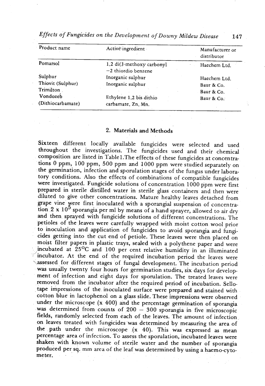| Product name      | Active ingredient                                  | Manufacturer or<br>distributor |
|-------------------|----------------------------------------------------|--------------------------------|
| Pomarsol          | 1,2 di(3-methoxy carbonyl<br>$-2$ thiordio benzene | Haechem Ltd.                   |
| Sulphur           | Inorganic sulphur                                  | Haechem Ltd.                   |
| Thiovit (Sulphur) | Inorganic sulphur                                  | Baur & Co.                     |
| Trimilton         |                                                    | Baur & Co.                     |
| Vondozeb          | Ethylene 1,2 bis dithio                            | Baur & Co.                     |
| (Dithiocarbamate) | carbamate, Zn, Mn.                                 |                                |

*Effects of Fungicides on the Development of Downy Mildew Disease* **147** 

### 2. Materials and Methods

Sixteen different locally available fungicides were selected and used throughout the investigations. The fungicides used and their chemical composition are listed in Table 1. The effects of these fungicides at concentrations 0 ppm, 100 ppm, 500 ppm and 1000 ppm were studied separately on the germination, infection and sporulation stages of the fungus under laboratory conditions. Also the effects of combinations of compatible fungicides were investigated. Fungicide solutions of concentration 1000 ppm were first prepared in sterile distilled water in sterile glass containers and then were diluted to give other concentrations. Mature healthy leaves detached from grape vine were first inoculated with a sporangial suspension of concentration  $2 \times 10^5$  sporangia per ml by means of a hand sprayer, allowed to air dry and then sprayed with fungicide solutions of different concentrations. The petioles of the leaves were carefully wrapped with moist cotton wool prior to inoculation and application of fungicides to avoid sporangia and fungicides getting into the cut end of petiole. These leaves were then placed on moist filter papers in plastic trays, sealed with a polythene paper and were incubated at **25OC** and 100 per cent relative humidity in an illuminated incubator. At the end of the required incubation period the leaves were assessed for different stages of fungal development. The incubation period was usually twenty four hours for germination studies, six days for development of infection and eight days for sporulation. The treated leaves were removed from the incubator after the required period of incubation. Sellotape impressions of the inoculated surface were prepared and stained with cotton blue in lactophenol on a glass slide. These impressions were observed nder the microscope (x 400) and the percentage germination of sporangia<br>was determined from counts of  $200 - 300$  sporangia in five microscopic was determined from counts of  $200 - 300$  sporangia in five microscopic fields, randomly selected from each of the leaves. The amount of infection on leaves treated with fungicides was determined by measuring the area of the path under the microscope (x 40). This was expressed as mean percentage area of infection. To assess the sporulation, incubated leaves were shaken with known volume of sterile water and the number of sporangia produced per sq. mm area of the leaf was determined by using a haemo-cytometer.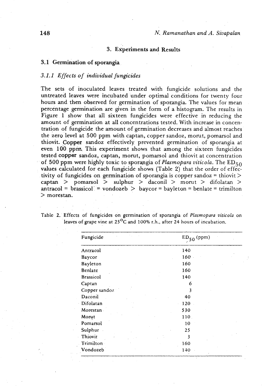#### **3. Experiments and Results**

#### **3.1** Germination of sporangia

### 3.1.1 *Effects of individual fungicides*

The sets of inoculated leaves treated with fungicide solutions and the untreated leaves were incubated under optimal conditions for twenty four hours and then observed for germination of sporangia. The values for mean percentage germination are given in the form of a histogram. The results in Figure 1 show that all sixteen fungicides were effective in reducing the amount of germination at all concentrations tested. With increase in concentration of fungicide the amount of germination decreases and almost reaches the zero level at 500 ppm with captan, copper sandoz, morut, pomarsol and thiovit. Copper sandoz effectively prevented germination of sporangia at even **100** ppm. This experiment shows that among the sixteen fungicides tested copper sandoz, captan, morut, pomarsol and thiovit at concentration of 500 ppm were highly toxic to sporangia of *Plasmopara viticola*. The ED<sub>50</sub> values calculated for each fungicide shows (Table 2) that the order of effectivity of fungicides on germination of sporangia is copper sandoz = thiovit  $\ge$  $\text{captan} > \text{pomarsol} > \text{subhur} > \text{daconil} > \text{morut} > \text{difolatan} >$  $\text{antracol} = \text{brassicol} = \text{vondozeb} > \text{baycor} = \text{bayleton} = \text{benlate} = \text{trimilton}$ > morestan.

| Fungicide        | $ED_{50}$ (ppm) |
|------------------|-----------------|
| Antracol         | 140             |
| Baycor           | 160             |
| Bayleton         | 160             |
| Benlate          | 160             |
| <b>Brassicol</b> | 140             |
| Captan           | 6               |
| Copper sandoz    | 3               |
| Daconil          | 40              |
| Difolatan        | 120             |
| Morestan         | 530             |
| Morut            | 110.            |
| Pomarsol         | 10              |
| Sulphur          | 25              |
| Thiovit          | 3               |
| Trimilton        | 160             |
| Vondozeb         | 140             |

Table **2.'** Effects of fungicides dn germination of sporangia of *Plasmopara viticola,* on leaves of grape vine at 25<sup>o</sup>C and 100% r.h., after 24 hours of incubation.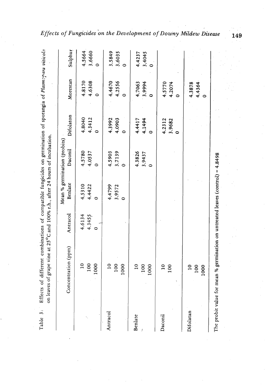| Table 3:  | Effects of different combinations of compatible fungicides on germination of sporangia of Plasmopara viticola<br>on leaves of grape vine at 25°C and 100% r.h., after 24 hours of incubation. |                             |                       |                                         |                               |                               |                  |
|-----------|-----------------------------------------------------------------------------------------------------------------------------------------------------------------------------------------------|-----------------------------|-----------------------|-----------------------------------------|-------------------------------|-------------------------------|------------------|
|           | Concentration (ppm)                                                                                                                                                                           | Antracol                    | <b>Benlate</b>        | Mean % germination (probits)<br>Daconil | Difolaton                     | Morestan                      | Sulphur          |
|           | $\overline{a}$<br>100<br>1000                                                                                                                                                                 | 4.6134<br>4.3455<br>$\circ$ | 4.5310<br>4.4422<br>0 | 4.5780<br>4.0537                        | 4.8040<br>4.3412              | 4.6308<br>4.8170<br>$\bullet$ | 4.5664<br>3.6660 |
| Antracol  | 100<br>$\overline{10}$<br>1000                                                                                                                                                                |                             | 4.4799<br>3.9572      | 3.7139<br>4.5903                        | 4.3992<br>4.0903              | 4.4670<br>4.2556              | 3.5849<br>3.6035 |
| Benlate   | $\overline{10}$<br>100<br>1000                                                                                                                                                                |                             |                       | 4.3826<br>3.9437                        | 4.4417<br>4.1494<br>$\bullet$ | 3.9994<br>4.7063              | 4.4237<br>3.4045 |
| Daconil   | $\overline{10}$<br>100                                                                                                                                                                        |                             |                       |                                         | 4.2312<br>3.9682              | 4.5770<br>4.2074              |                  |
| Difolatan | $\overline{10}$<br>100<br>1000                                                                                                                                                                |                             |                       |                                         |                               | 4.3878<br>4.4364<br>$\bullet$ |                  |
|           | The probit value for mean % germination on untreated leaves (control) = $4.8498$                                                                                                              |                             |                       |                                         |                               |                               |                  |

# Effects of Fungicides on the Development of Downy Mildew Disease

149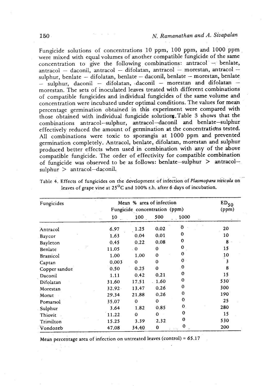. -

Fungicide solutions of concentrations 10 ppm, 100 ppm, and **1000** ppm were mixed with equal volumes of another compatible fungicide of the same concentration to give the following combinations: antracol - benlate, oncentration to give the following combinations: antracol  $-$  benlate, <br>ntracol  $-$  daconil, antracol  $-$  difolatan, antracol  $-$  morestan, antracol  $$ sulphur, benlate - difolatan, antracol - morestan, antracol -<br>ulphur, benlate - difolatan, benlate - daconil, benlate - morestan, benlate sulphur, benlate - difolatan, benlate - daconil, benlate - morestan, benlate - sulphur, daconil - difolatan, daconil - morestan and difolatan morestan. The sets of inoculated leaves treated with different combinations of compatible fungicides and individual fungicides of the same volume and concentration were incubated under optimal conditions. The values for mean percentage germination obtained in this experiment were compared with those obtained with individual fungicide solutiom.Table 3 shows that the combinations antracol-sulphur, antracol-daconil and benlate-sulphur effectively reduced the amount of germination at the concentratidns tested. All combinations were toxic to sporangia at **1000** ppm and prevented germination completely. Antracol, benlate, difolatan, morestan and sulphur produced better effects when used in combination with any of the above compatible fungicide. The order of effectivity for compatible combination of fungicide was observed to be as follows: benlate-sulphur  $>$  antracol- $\text{subbur} > \text{antracol-daconil.}$ 

| Fungicides    |       | Mean % area of infection<br>Fungicide concentration (ppm) |             |                |     |
|---------------|-------|-----------------------------------------------------------|-------------|----------------|-----|
|               | 10    | 100                                                       | 500         | 1000           |     |
| Antracol      | 6.97  | 1.25                                                      | 0.02        | $\overline{0}$ | 20  |
| Baycor        | 1.63  | 0.04                                                      | 0.01        | 0              | 10  |
| Bayleton      | 0.45  | 0.22                                                      | 0.08        | 0              | 8   |
| Benlate       | 11.05 | $\cdot$ 0                                                 | $\bf{0}$    | $\mathbf 0$    | 15  |
| Brassicol     | 1.00  | 1.00                                                      | $\mathbf 0$ | $\bf{0}$       | 10  |
| Captan        | 0.003 | $\Omega$                                                  | $\Omega$    | $\mathbf 0$    | 3   |
| Copper sandoz | 0.50  | 0.25                                                      | $\bf{0}$    | $\mathbf{0}$   | 8   |
| Daconil       | 1.11  | 0.42                                                      | 0.21        | 0              | 15  |
| Difolatan     | 31.60 | 17.51                                                     | 1.60        | 0              | 530 |
| Morestan      | 32.92 | 13.47                                                     | 0.26        | 0              | 300 |
| Morut         | 29.34 | 21.88                                                     | 0,26        | 0              | 190 |
| Pomarsol      | 35.07 | $\mathbf 0$                                               | $\Omega$    | $\mathbf 0$    | 25  |
| Sulphur       | 3.64  | 1.82                                                      | 0.85        | $\mathbf{0}$   | 280 |
| Thiovit       | 11.22 | $\mathbf 0$                                               | $\bf{0}$    | 0              | 15  |
| Trimilton     | 15.25 | 3.39                                                      | 2.32        | 0              | 530 |
| Vondozeb      | 47.08 | 34.40                                                     | $\bf{0}$    | 0              | 200 |

**Table** 4. **Effects of fungicides on the development of infection of** *Plasmopara viticola* **on**  leaves of grape vine at  $25^{\circ}$ C and 100% r.h. after 6 days of incubation.

Mean percentage area of infection on untreated leaves (control) = 65.17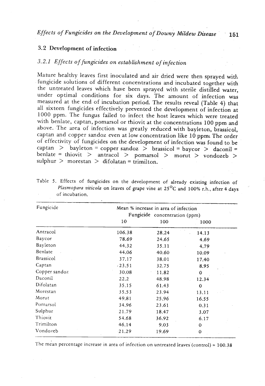### **3.2** Development of infection

### *3.2.1 Effects of fungicides on establishment* of *infection-*

Mature healthy leaves first inoculated and air dried were then sprayed with fungicide solutions of different concentrations and incubated together with the untreated leaves which have been sprayed with sterile distilled water, under optimal conditions for six days. The amount of infection was measured at the end of incubation period. The results reveal (Table 4) that all sixteen fungicides effectively prevented the development of infection at 1000 ppm. The fungus failed to infect the host leaves which were treated with benlate, captan, pomarsol or thiovit at the concentrations 100 ppm and above. The area of infection was greatly reduced with bayleton, brassicol, captan and copper sandoz even at low concentration like 10 ppm. The order of effectivity of fungicides on the development of infection was found to be captan > bayleton = copper sandoz > brassicol = baycor > daconil = benlate = thiovit > antracol > pomarsol > morut > vondozeb > sulphur  $>$  morestan  $>$  difolatan = trimilton.

| Fungicide     | Mean % increase in area of infection<br>Fungicide concentration (ppm) |       |             |  |  |
|---------------|-----------------------------------------------------------------------|-------|-------------|--|--|
|               |                                                                       |       |             |  |  |
|               | 10                                                                    | 100   | 1000        |  |  |
| Antracol      | 106.38                                                                | 28.24 | 14.13       |  |  |
| Baycor        | 78.69                                                                 | 24.65 | 4.69        |  |  |
| Bayleton      | 44.32                                                                 | 35.11 | 4.79        |  |  |
| Benlate       | 44.06                                                                 | 40.60 | 10.09       |  |  |
| Brassicol     | 37.17                                                                 | 38.01 | 17.40       |  |  |
| Captan        | $-23.51$                                                              | 32.75 | 8.95        |  |  |
| Copper sandoz | 30.08                                                                 | 11.82 | 0           |  |  |
| Daconil       | 22.2                                                                  | 48.98 | 12.34       |  |  |
| Difolatan     | 35.15                                                                 | 61.43 | $\mathbf 0$ |  |  |
| Morestan      | 35.53                                                                 | 23.94 | 13.11       |  |  |
| Morut         | 49.81                                                                 | 25.96 | 16.55       |  |  |
| Pomarsol      | 34.96                                                                 | 23.61 | 0.31        |  |  |
| Sulphur       | 21.79                                                                 | 18.47 | 3.07        |  |  |
| Thiovit       | 54.68                                                                 | 36.92 | 6.17        |  |  |
| Trimilton     | 46.14                                                                 | 9.03  | $\Omega$    |  |  |
| Vondozeb      | $-21.29$                                                              | 19.69 | $\mathbf 0$ |  |  |

Table **5.** Effects of fungicides on the development of already existing infection of *Plasmopara viticola* on leaves of grape vine at **25O~** and **100%** r-h., after **4** days ' of incubation.

The mean percentage increase in area of infection on untreated leaves (control) = 100.38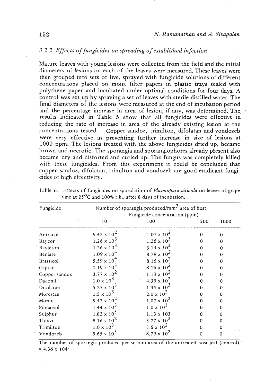### 3.2.2 Effects of fungicides on spreading of established infection

Mature leaves with young lesions were collected from the field and the initial diameters of lesions on each of the leaves were measured. These leaves were then grouped into sets of five, sprayed with fungicide solutions of different concentrations placed on moist filter papers in plastic trays sealed with polythene paper and incubated under optimal conditions for four days. A control was set up by spraying a set of leaves with sterile distilled water. The final diameters of the lesions were measured at the end of incubation period and the percentage increase in area of lesion, if any, was determined. The \* results indicated in Table 5 show that all fungicides were effective in reducing the rate of increase in area of the already existing lesion at the concentrations tested Copper sandoz, trimilton, difolatan and vondozeb were very effective in preventing further increase in size of lesions at 1000 ppm. The lesions treated with the above fungicides dried up, became brown and necrotic. The sporangia and sporangiophores already present also became dry and distorted and curled up. The fungus was completely killed with these fungicides. From this experiment it could be concluded that copper sandoz, difolatan, trimilton and vondozeb are good eradicant fungicides of high effectivity.

| Fungicide     |                      | Number of sporangia produced/mm <sup>2</sup> area of host<br>Fungicide concentration (ppm) |          |             |  |  |
|---------------|----------------------|--------------------------------------------------------------------------------------------|----------|-------------|--|--|
|               | 10                   | 100                                                                                        | 500      | 1000        |  |  |
| Antracol      | $9.42 \times 10^2$   | $1.07 \times 10^{2}$                                                                       | $\Omega$ | 0           |  |  |
| Baycor        | $1.26 \times 10^3$   | $1.26 \times 10^3$                                                                         | 0        | 0           |  |  |
| Bayleton      | $1.26 \times 10^3$   | 3.14 x $10^2$                                                                              | 0        | $\mathbf 0$ |  |  |
| Benlate       | $1.09 \times 10^4$   | 8.79 x $10^2$                                                                              | $\Omega$ | $\Omega$    |  |  |
| Brassicol     | $5.59 \times 10^{4}$ | 8.16 x $10^2$                                                                              | 0        | 0           |  |  |
| Captan        | $1.19 \times 10^{3}$ | 8.16 x $10^2$                                                                              | 0        | 0           |  |  |
| Copper sandoz | $3.77 \times 10^{2}$ | $1.13 \times 10^{2}$                                                                       | 0        | 0           |  |  |
| Daconil       | $1.0 \times 10^3$    | 4.39 x $10^2$                                                                              | 0        | $\Omega$    |  |  |
| Difolatan     | 5.27 x $10^3$        | $1.44 \times 10^3$                                                                         | $\Omega$ | $\bf{0}$    |  |  |
| Morestan      | $1.5 \times 10^3$    | $2.0 \times 10^{2}$                                                                        | $\bf{0}$ | 0           |  |  |
| Morut         | 9.42 x $10^2$        | $1.07 \times 10^{2}$                                                                       | $\Omega$ | $\Omega$    |  |  |
| Pomarsol      | $1.44 \times 10^{3}$ | $1.0 \times 10^3$                                                                          | 0        | $\Omega$    |  |  |
| Sulphur       | $1.82 \times 10^3$   | $1.13 \times 103$                                                                          | 0        | 0           |  |  |
| Thiovit       | $8.16 \times 10^{2}$ | $3.77 \times 10^{2}$                                                                       | $\Omega$ | 0           |  |  |
| Trimilton     | $1.0 \times 10^3$    | 5.6 x $10^2$                                                                               | $\Omega$ | $\Omega$    |  |  |
| Vondozeb      | 5.65 x $10^3$        | 8.79 x $10^2$                                                                              | $\Omega$ | 0           |  |  |

Table 6. Eftects of fungicides on sporulation of *Plasmopara viticola* on leaves of grape vine at 25<sup>o</sup>C and 100% r.h., after 8 days of incubation.

The number of sporangia produced per sq mm area of the untreated host leaf (control)  $= 4.36 \times 104$ <sup>2</sup>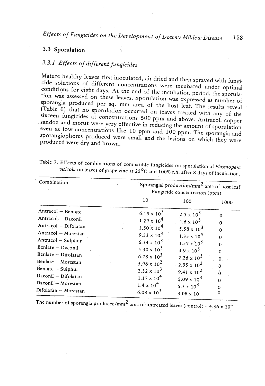### *3.3* Sporulation

# 3.3.1 Effects of different fungicides

Mature healthy leaves first inoculated, air dried and then sprayed with fungicide solutions of different concentrations were incubated under optimal conditions for eight days. At the end of the incubation period, the sporulation was assessed on these leaves. Sporulation was expressed as number of sporangia produced per sq. mm area of the host leaf. The results reveal (Table 6) that no sporulation occurred on leaves treated with any of the sixteen fungicides at concentrations 500 ppm and above. Antracol, copper sandoz and morut were very effective in reducing the amount of sporulation even at low concentrations like 10 ppm and 100 ppm. The sporangia and sporangiophores produced were small and the lesions on which they were produced were dry and brown.

| Combination          | Sporangial production/mm <sup>2</sup> area of host leaf<br>Fungicide concentration (ppm) |                                  |                |  |
|----------------------|------------------------------------------------------------------------------------------|----------------------------------|----------------|--|
|                      | 10                                                                                       | 100                              | 1000           |  |
| Antracol - Benlate   | 6.15 x $10^3$                                                                            | $2.5 \times 10^3$                |                |  |
| Antracol - Daconil   | $1.29 \times 10^4$                                                                       | $4.6 \times 10^3$                | 0              |  |
| Antracol - Difolatan | $1.50 \times 10^4$                                                                       | 5.58 x $10^{3}$                  |                |  |
| Antracol - Morestan  | 9.53 x $10^3$                                                                            | $1.35 \times 10^4$               | $\mathbf{0}$ . |  |
| Antracol - Sulphur   | 6.34 x $10^3$                                                                            | $1.57 \times 10^3$               |                |  |
| Benlate - Daconil    | $5.30 \times 10^3$                                                                       | $3.9 \times 10^3$                |                |  |
| Benlate - Difolatan  | $6.78 \times 10^3$                                                                       | $2.26 \times 10^3$               | $\Omega$       |  |
| Benlate - Morestan   | 5.96 x $10^2$                                                                            | 2.95 x $10^2$                    | $\mathbf{0}$   |  |
| Benlate - Sulphur    | $2.32 \times 10^3$                                                                       | $9.41 \times 10^2$               | $\Omega$       |  |
| Daconil - Difolatan  | $1.17 \times 10^4$                                                                       | $5.09 \times 10^3$               | $\Omega$       |  |
| Daconil - Morestan   | $1.4 \times 10^4$                                                                        |                                  | $\Omega$       |  |
| Difolatan - Morestan | $6.03 \times 10^3$                                                                       | 5.3 x $10^3$<br>$3.08 \times 10$ |                |  |

Table **7.** Effects of combinations of compatible fungicides on sporulation of *Plasmopara viticola* on leaves of grape vine at 25<sup>o</sup>C and 100% r.h. after 8 days of incubation.

The number of sporangia produced/mm<sup>2</sup> area of untreated leaves (control) =  $4.36 \times 10^4$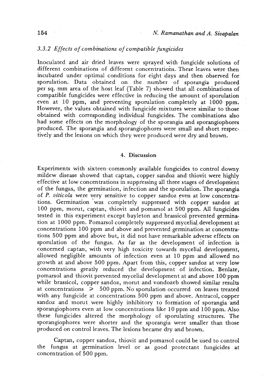### *3.3.2 Effects of combinations of compatible fingicides*

Inoculated and air dried leaves were sprayed with fungicide solutions of different combinations of different concentrations. These leaves were then incubated under optimal conditions for eight days and then observed for sporulation. Data obtained on the number of sporangia produced per sq. mm area of the host leaf (Table 7) showed that all combinations of compatible fungicides were effective in reducing the amount of sporulation even at 10 ppm, and preventing sporulation completely at 1000 ppm. However, the values obtained with fungicide mixtures were similar to those obtained with corresponding individual fungicides. The combinations also had some effects on the morphology of the sporangia and sporangiophores produced. The sporangia and sporangiophores were small and short respectively and the lesions on which they were produced were dry and brown.

#### 4. Discussion

Experiments with sixteen commonly available fungicides to control downy. mildew disease showed that captan, copper sandoz and thiovit were highly effective at low concentrations in suppressing all three stages of developnient of the fungus, the germination, infection and the sporulation. The sporangia of P. *viticola* were very sensitive to copper sandoz even at low concentrations. Germination 'was completely suppressed with copper sandoz at 100 ppm, morut, captan, thiovit and pomarsol at 500 ppm. All fungicides tested in this experiment except bayleton and brassicol prevented germination at 1000 ppm. Pomarsol completely suppressed mycelial, development at concentrations 100 ppm and above and prevented germination at concentrations 500 pprn and above but, it did not have remarkable adverse effects on sporulation of the fungus. As far as the development of infection is concerned captan, with very high toxicity towards mycelial development, allowed negligible amounts of infection even at 10 ppm and allowed no growth at and above 500 ppm. Apart from this, copper sandoz at very low concentrations greatly reduced the development of infection. Benlate, pomarsol and thiovit prevented mycelial development at and above 100 pprn while brassicol, copper sandoz, morut and vondozeb showed similar results at concentrations  $\geq 500$  ppm. No sporulation occurred on leaves treated with any fungicide at concentrations 500 ppm and above. Antracol, copper sandoz and morut were highly inhibitory to formation of sporangia and sporangiophores even at low concentrations like 10 ppm and 100 ppm. Also these fungicides altered the morphology of sporulating structures. The sporangiophores were shorter and the sporangia were smaller than those produced on control leaves. The lesions became dry and brown.

Captan, copper sandoz, thiovit and pomarsol could be used to control the fungus at germination level or as good protectant fungicides at concentration of 500 ppm.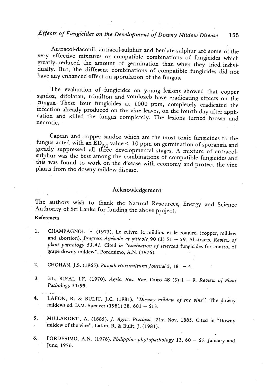# *Effects of Fungicides on the Development of Downy Mildew Disease* **155**

Antracol-daconil, antracol-sulphur and benlate-sulphur are some of the very effective mixtures or compatible combinations of fungicides which greatly reduced the amount of germination than when they tried individually. But, the different combinations of compatible fungicides did not have any enhanced effect on sporulation of the fungus.

The evaluation of fungicides on young lesions showed that copper sandoz, difolatan, trimilton and vondozeb have eradicating effects on the fungus. These four fungicides at 1000 ppm, completely eradicated the infection already produced on the vine leaves, on the fourth day after application and killed the fungus completely. The lesions turned brown and necrotic.

Captan and copper sandoz which are the most toxic fungicides to the fungus acted with an  $ED_{50}$  value < 10 ppm on germination of sporangia and greatly suppressed all three developmental stages. A mixture of antracolsulphur was the best among the combinations of compatible fungicides and this was found to work on the disease with economy and protect the vine plants from the downy mildew disease.

#### Acknowledgement

The authors wish to thank the Natural Resources, Energy and Science Authority of Sri Lanka for funding the above project.

#### **References**

- 1. CHAMPAGNOL, F. (1973). Le cuivre, le mildiou et le couiure. (copper, mildew and abortion). *Progress Agn'cole et viticole 90* **(3)** <sup>51</sup> 59. Abstracts. *Review* of *plant pathology* **53:41.** Cited *in "Evaluation* of *selected* fungicides for control of grape downy mildew". Pordesimo, A.N. (1976).
- 2. CHOHAN, J.S. (1965). *Punjab Horticultural Journal* 5, 181 4.
- 3. EL. RIFAI, I.F. (1970). *Agric. Res. Rev.* Cairo 48 (3):1 9. *Review of Plant Pathology 51:95.*  .. .- .
- **4. LAFON, R. & BULIT, J.C.** (1981). *''Downy mildew of the vine''*. The downy mildews ed. D.M. Spencer (1981).28: 601 613.
- 5. MILLARDET', A. (1885). J. *Agric. Pratique. 21st* Nov. 1885. Cited in "Downy mildew of the vine". Lafon, R. & Bulit, J. (1981).
- 6. PORDESIMO, A.N. (1976). *Philippine phytopathology* 12, 60 65. January and June, 1976.